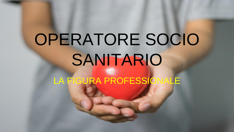# OPERATORE SOCIO SANITARIO

LA FIGURA PROFESSIONALE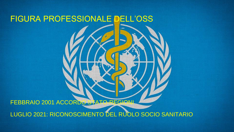## FIGURA PROFESSIONALE DELL'OSS

FEBBRAIO 2001 ACCORDO STATO-REGIONI

LUGLIO 2021: RICONOSCIMENTO DEL RUOLO SOCIO SANITARIO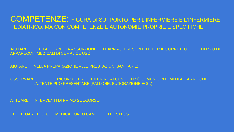#### COMPETENZE: FIGURA DI SUPPORTO PER L'INFERMIERE E L'INFERMIERE PEDIATRICO, MA CON COMPETENZE E AUTONOMIE PROPRIE E SPECIFICHE:

AIUTARE PER LA CORRETTA ASSUNZIONE DEI FARMACI PRESCRITTI E PER IL CORRETTO UTILIZZO DI APPARECCHI MEDICALI DI SEMPLICE USO;

AIUTARE NELLA PREPARAZIONE ALLE PRESTAZIONI SANITARIE;

OSSERVARE, RICONOSCERE E RIFERIRE ALCUNI DEI PIÙ COMUNI SINTOMI DI ALLARME CHE L'UTENTE PUÒ PRESENTARE (PALLORE, SUDORAZIONE ECC.);

ATTUARE INTERVENTI DI PRIMO SOCCORSO;

EFFETTUARE PICCOLE MEDICAZIONI O CAMBIO DELLE STESSE;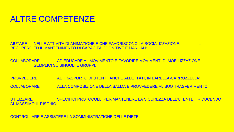#### ALTRE COMPETENZE

AIUTARE NELLE ATTIVITÀ DI ANIMAZIONE E CHE FAVORISCONO LA SOCIALIZZAZIONE, IL RECUPERO ED IL MANTENIMENTO DI CAPACITÀ COGNITIVE E MANUALI;

COLLABORARE AD EDUCARE AL MOVIMENTO E FAVORIRE MOVIMENTI DI MOBILIZZAZIONE SEMPLICI SU SINGOLI E GRUPPI.

PROVVEDERE AL TRASPORTO DI UTENTI, ANCHE ALLETTATI, IN BARELLA-CARROZZELLA;

COLLABORARE ALLA COMPOSIZIONE DELLA SALMA E PROVVEDERE AL SUO TRASFERIMENTO;

UTILIZZARE SPECIFICI PROTOCOLLI PER MANTENERE LA SICUREZZA DELL'UTENTE, RIDUCENDO AL MASSIMO IL RISCHIO;

CONTROLLARE E ASSISTERE LA SOMMINISTRAZIONE DELLE DIETE;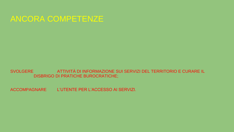#### ANCORA COMPETENZE

SVOLGERE ATTIVITÀ DI INFORMAZIONE SUI SERVIZI DEL TERRITORIO E CURARE IL DISBRIGO DI PRATICHE BUROCRATICHE;

ACCOMPAGNARE L'UTENTE PER L'ACCESSO AI SERVIZI.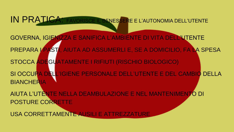IN PRATICA: FAVORISCE IL BENESSERE E L'AUTONOMIA DELL'UTENTE

- GOVERNA, IGIENIZZA E SANIFICA L'AMBIENTE DI VITA DELL'UTENTE PREPARA I PASTI, AIUTA AD ASSUMERLI E, SE A DOMICILIO, FA LA SPESA STOCCA ADEGUATAMENTE I RIFIUTI (RISCHIO BIOLOGICO) SI OCCUPA DELL'IGIENE PERSONALE DELL'UTENTE E DEL CAMBIO DELLA **BIANCHERIA**
- AIUTA L'UTENTE NELLA DEAMBULAZIONE E NEL MANTENIMENTO DI POSTURE CORRETTE

USA CORRETTAMENTE AUSILI E ATTREZZATURE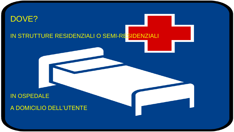## DOVE? IN STRUTTURE RESIDENZIALI O SEMI-RESIDENZIALI

#### **IN OSPEDALE**

#### A DOMICILIO DELL'UTENTE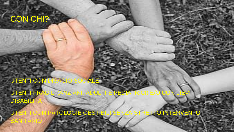## CON CHI?

 $\sim$  AGIC **UTENTI CON** CIALE

UTENTI FRA PEDIA DULT **DISABILI** 

TOLOGIE GESTIB **TO INTERVENTO UTE**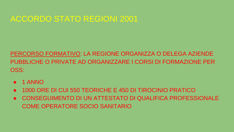## ACCORDO STATO REGIONI 2001

#### PERCORSO FORMATIVO: LA REGIONE ORGANIZZA O DELEGA AZIENDE PUBBLICHE O PRIVATE AD ORGANIZZARE I CORSI DI FORMAZIONE PER OSS:

- 1 ANNO
- 1000 ORE DI CUI 550 TEORICHE E 450 DI TIROCINIO PRATICO
- CONSEGUIMENTO DI UN ATTESTATO DI QUALIFICA PROFESSIONALE COME OPERATORE SOCIO SANITARIO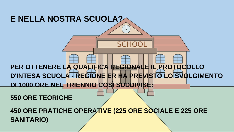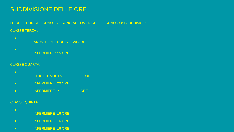#### SUDDIVISIONE DELLE ORE

LE ORE TEORICHE SONO 162, SONO AL POMERIGGIO E SONO COSÌ SUDDIVISE: CLASSE TERZA :

- ANIMATORE SOCIALE 20 ORE
- INFERMIERE: 15 ORE

#### CLASSE QUARTA:

- FISIOTERAPISTA 20 ORE
- INFERMIERE 20 ORE
- INFERMIERE 14 ORE

#### CLASSE QUINTA:

- INFERMIERE 16 ORE
- INFERMIERE 16 ORE
- INFERMIERE 16 ORE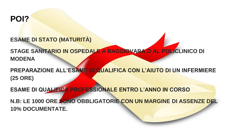#### **POI?**

**ESAME DI STATO (MATURITÀ)**

**STAGE SANITARIO IN OSPEDALE A BAGGIOVARA O AL POLICLINICO DI MODENA**

**PREPARAZIONE ALL'ESAME DI QUALIFICA CON L'AIUTO DI UN INFERMIERE (25 ORE)**

**ESAME DI QUALIFICA PROFESSIONALE ENTRO L'ANNO IN CORSO**

**N.B: LE 1000 ORE SONO OBBLIGATORIE CON UN MARGINE DI ASSENZE DEL 10% DOCUMENTATE.**